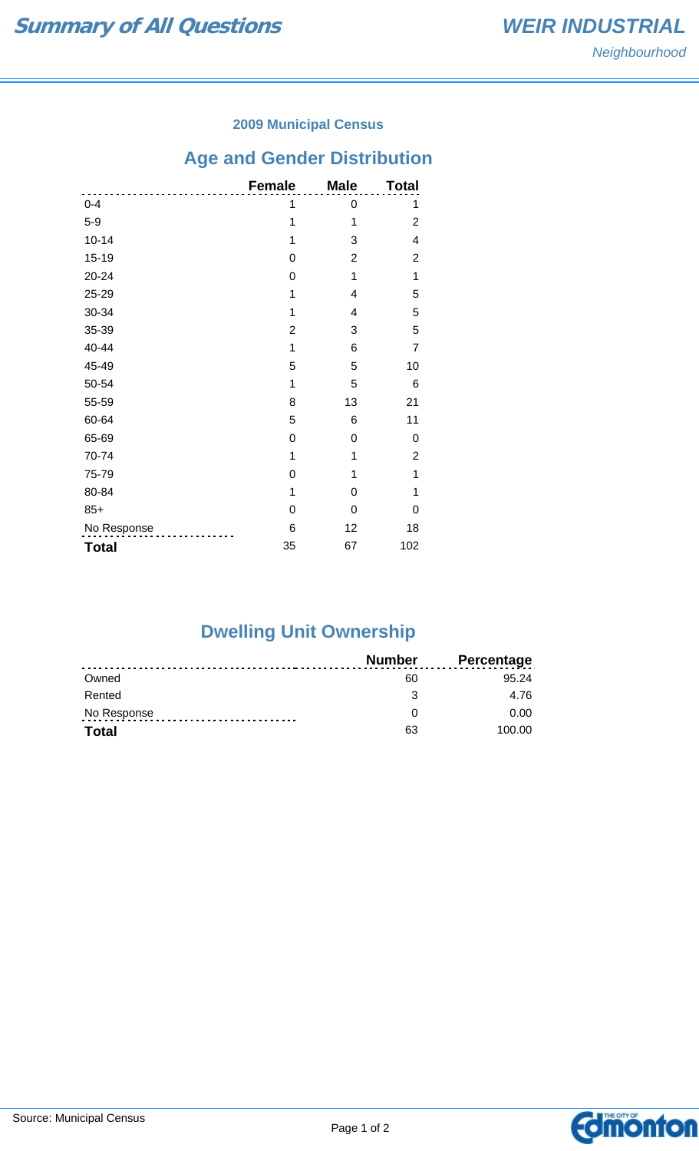#### **2009 Municipal Census**

# **Age and Gender Distribution**

|              | <b>Female</b>  | <b>Male</b>    | <b>Total</b>   |
|--------------|----------------|----------------|----------------|
| $0 - 4$      | 1              | 0              | 1              |
| $5-9$        | 1              | 1              | $\overline{2}$ |
| $10 - 14$    | 1              | 3              | 4              |
| $15 - 19$    | 0              | $\overline{2}$ | 2              |
| 20-24        | 0              | 1              | 1              |
| 25-29        | 1              | 4              | 5              |
| 30-34        | 1              | 4              | 5              |
| 35-39        | $\overline{2}$ | 3              | 5              |
| 40-44        | 1              | 6              | $\overline{7}$ |
| 45-49        | 5              | 5              | 10             |
| 50-54        | 1              | 5              | 6              |
| 55-59        | 8              | 13             | 21             |
| 60-64        | 5              | 6              | 11             |
| 65-69        | 0              | 0              | 0              |
| 70-74        | 1              | 1              | 2              |
| 75-79        | 0              | 1              | 1              |
| 80-84        | 1              | 0              | 1              |
| $85+$        | 0              | 0              | 0              |
| No Response  | 6              | 12             | 18             |
| <b>Total</b> | 35             | 67             | 102            |

## **Dwelling Unit Ownership**

|              | Number | <b>Percentage</b> |
|--------------|--------|-------------------|
| Owned        | 60     | 95 24             |
| Rented       | -2     | 4.76              |
| No Response  |        | 0.00              |
| <b>Total</b> | 63     | 100.00            |